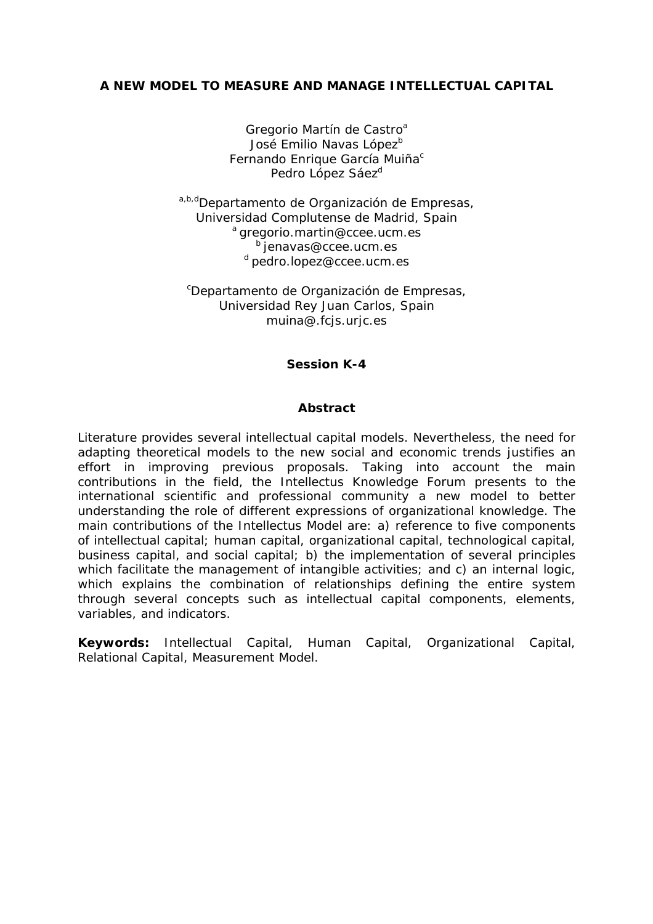Gregorio Martín de Castro<sup>a</sup> José Emilio Navas López<sup>b</sup> Fernando Enrique García Muiña<sup>c</sup> Pedro López Sáez<sup>d</sup>

a,b,dDepartamento de Organización de Empresas, Universidad Complutense de Madrid, Spain a gregorio.martin@ccee.ucm.es b jenavas@ccee.ucm.es d pedro.lopez@ccee.ucm.es

c Departamento de Organización de Empresas, Universidad Rey Juan Carlos, Spain muina@.fcjs.urjc.es

# **Session K-4**

## **Abstract**

Literature provides several intellectual capital models. Nevertheless, the need for adapting theoretical models to the new social and economic trends justifies an effort in improving previous proposals. Taking into account the main contributions in the field, the Intellectus Knowledge Forum presents to the international scientific and professional community a new model to better understanding the role of different expressions of organizational knowledge. The main contributions of the Intellectus Model are: a) reference to five components of intellectual capital; human capital, organizational capital, technological capital, business capital, and social capital; b) the implementation of several principles which facilitate the management of intangible activities; and c) an internal logic, which explains the combination of relationships defining the entire system through several concepts such as intellectual capital components, elements, variables, and indicators.

**Keywords:** Intellectual Capital, Human Capital, Organizational Capital, Relational Capital, Measurement Model.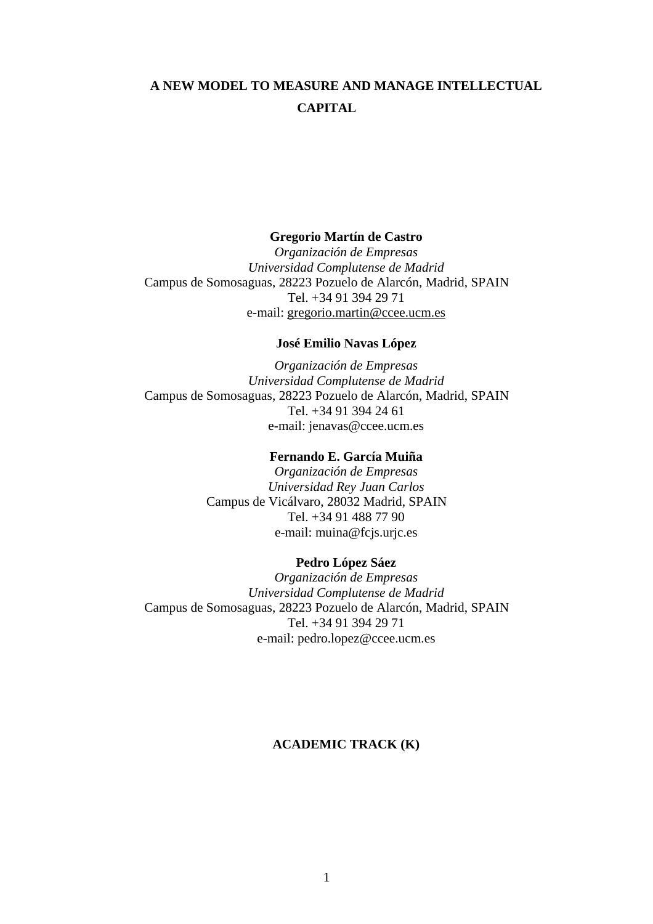#### **Gregorio Martín de Castro**

*Organización de Empresas Universidad Complutense de Madrid*  Campus de Somosaguas, 28223 Pozuelo de Alarcón, Madrid, SPAIN Tel. +34 91 394 29 71 e-mail: gregorio.martin@ccee.ucm.es

# **José Emilio Navas López**

*Organización de Empresas Universidad Complutense de Madrid*  Campus de Somosaguas, 28223 Pozuelo de Alarcón, Madrid, SPAIN Tel. +34 91 394 24 61 e-mail: jenavas@ccee.ucm.es

### **Fernando E. García Muiña**

*Organización de Empresas Universidad Rey Juan Carlos*  Campus de Vicálvaro, 28032 Madrid, SPAIN Tel. +34 91 488 77 90 e-mail: muina@fcjs.urjc.es

#### **Pedro López Sáez**

*Organización de Empresas Universidad Complutense de Madrid*  Campus de Somosaguas, 28223 Pozuelo de Alarcón, Madrid, SPAIN Tel. +34 91 394 29 71 e-mail: pedro.lopez@ccee.ucm.es

# **ACADEMIC TRACK (K)**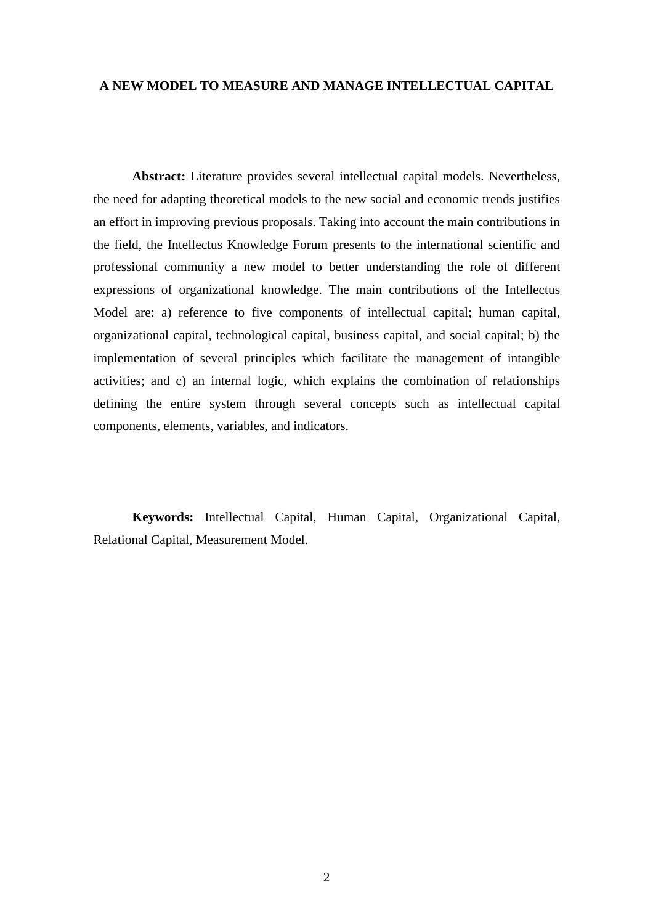**Abstract:** Literature provides several intellectual capital models. Nevertheless, the need for adapting theoretical models to the new social and economic trends justifies an effort in improving previous proposals. Taking into account the main contributions in the field, the Intellectus Knowledge Forum presents to the international scientific and professional community a new model to better understanding the role of different expressions of organizational knowledge. The main contributions of the Intellectus Model are: a) reference to five components of intellectual capital; human capital, organizational capital, technological capital, business capital, and social capital; b) the implementation of several principles which facilitate the management of intangible activities; and c) an internal logic, which explains the combination of relationships defining the entire system through several concepts such as intellectual capital components, elements, variables, and indicators.

**Keywords:** Intellectual Capital, Human Capital, Organizational Capital, Relational Capital, Measurement Model.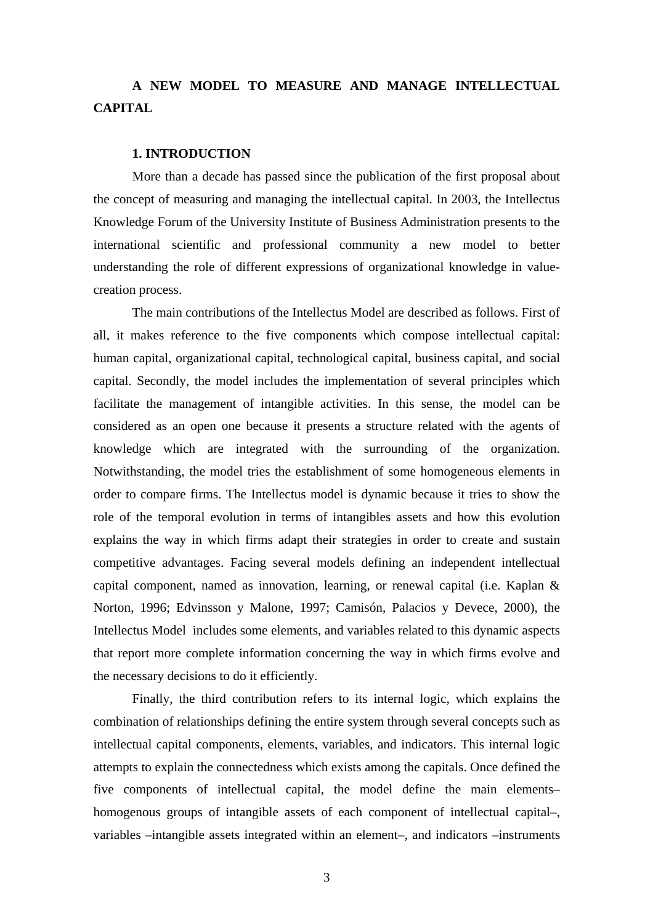### **1. INTRODUCTION**

More than a decade has passed since the publication of the first proposal about the concept of measuring and managing the intellectual capital. In 2003, the Intellectus Knowledge Forum of the University Institute of Business Administration presents to the international scientific and professional community a new model to better understanding the role of different expressions of organizational knowledge in valuecreation process.

The main contributions of the Intellectus Model are described as follows. First of all, it makes reference to the five components which compose intellectual capital: human capital, organizational capital, technological capital, business capital, and social capital. Secondly, the model includes the implementation of several principles which facilitate the management of intangible activities. In this sense, the model can be considered as an open one because it presents a structure related with the agents of knowledge which are integrated with the surrounding of the organization. Notwithstanding, the model tries the establishment of some homogeneous elements in order to compare firms. The Intellectus model is dynamic because it tries to show the role of the temporal evolution in terms of intangibles assets and how this evolution explains the way in which firms adapt their strategies in order to create and sustain competitive advantages. Facing several models defining an independent intellectual capital component, named as innovation, learning, or renewal capital (i.e. Kaplan & Norton, 1996; Edvinsson y Malone, 1997; Camisón, Palacios y Devece, 2000), the Intellectus Model includes some elements, and variables related to this dynamic aspects that report more complete information concerning the way in which firms evolve and the necessary decisions to do it efficiently.

Finally, the third contribution refers to its internal logic, which explains the combination of relationships defining the entire system through several concepts such as intellectual capital components, elements, variables, and indicators. This internal logic attempts to explain the connectedness which exists among the capitals. Once defined the five components of intellectual capital, the model define the main elements– homogenous groups of intangible assets of each component of intellectual capital–, variables –intangible assets integrated within an element–, and indicators –instruments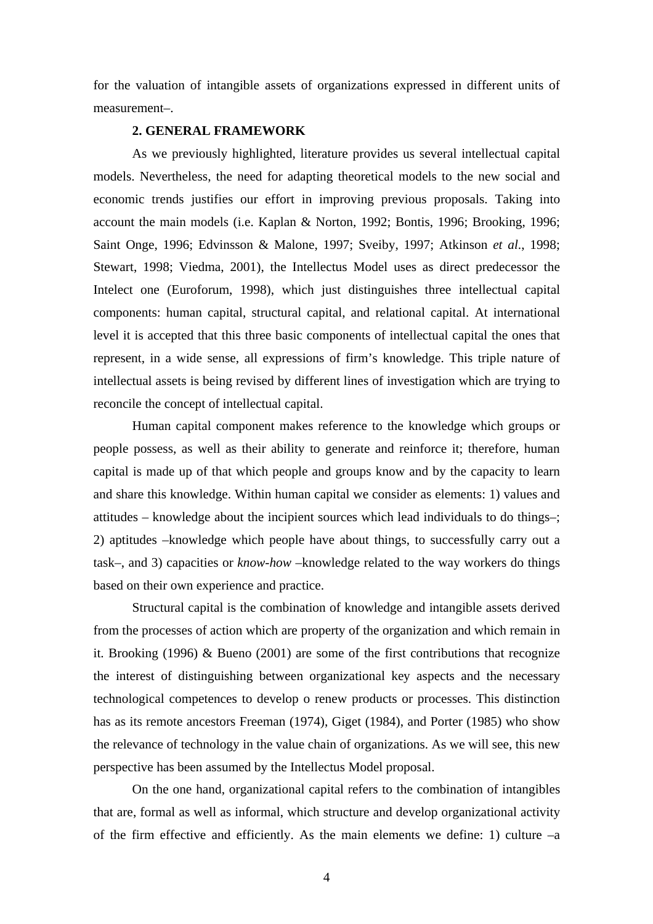for the valuation of intangible assets of organizations expressed in different units of measurement–.

## **2. GENERAL FRAMEWORK**

As we previously highlighted, literature provides us several intellectual capital models. Nevertheless, the need for adapting theoretical models to the new social and economic trends justifies our effort in improving previous proposals. Taking into account the main models (i.e. Kaplan & Norton, 1992; Bontis, 1996; Brooking, 1996; Saint Onge, 1996; Edvinsson & Malone, 1997; Sveiby, 1997; Atkinson *et al*., 1998; Stewart, 1998; Viedma, 2001), the Intellectus Model uses as direct predecessor the Intelect one (Euroforum, 1998), which just distinguishes three intellectual capital components: human capital, structural capital, and relational capital. At international level it is accepted that this three basic components of intellectual capital the ones that represent, in a wide sense, all expressions of firm's knowledge. This triple nature of intellectual assets is being revised by different lines of investigation which are trying to reconcile the concept of intellectual capital.

Human capital component makes reference to the knowledge which groups or people possess, as well as their ability to generate and reinforce it; therefore, human capital is made up of that which people and groups know and by the capacity to learn and share this knowledge. Within human capital we consider as elements: 1) values and attitudes – knowledge about the incipient sources which lead individuals to do things–; 2) aptitudes –knowledge which people have about things, to successfully carry out a task–, and 3) capacities or *know-how* –knowledge related to the way workers do things based on their own experience and practice.

Structural capital is the combination of knowledge and intangible assets derived from the processes of action which are property of the organization and which remain in it. Brooking (1996) & Bueno (2001) are some of the first contributions that recognize the interest of distinguishing between organizational key aspects and the necessary technological competences to develop o renew products or processes. This distinction has as its remote ancestors Freeman (1974), Giget (1984), and Porter (1985) who show the relevance of technology in the value chain of organizations. As we will see, this new perspective has been assumed by the Intellectus Model proposal.

On the one hand, organizational capital refers to the combination of intangibles that are, formal as well as informal, which structure and develop organizational activity of the firm effective and efficiently. As the main elements we define: 1) culture  $-a$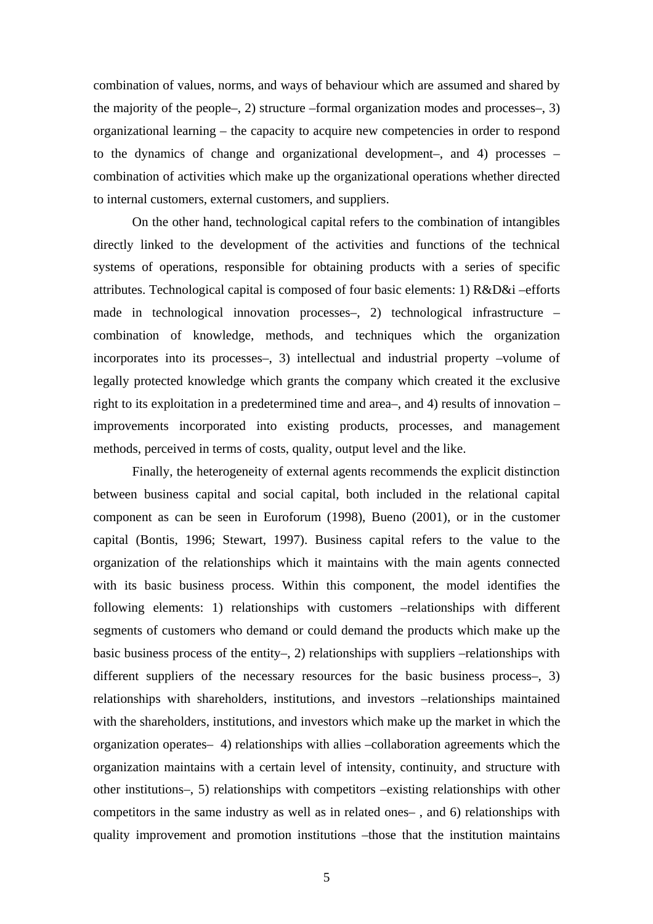combination of values, norms, and ways of behaviour which are assumed and shared by the majority of the people–, 2) structure –formal organization modes and processes–, 3) organizational learning – the capacity to acquire new competencies in order to respond to the dynamics of change and organizational development–, and 4) processes – combination of activities which make up the organizational operations whether directed to internal customers, external customers, and suppliers.

On the other hand, technological capital refers to the combination of intangibles directly linked to the development of the activities and functions of the technical systems of operations, responsible for obtaining products with a series of specific attributes. Technological capital is composed of four basic elements: 1) R&D&i –efforts made in technological innovation processes–, 2) technological infrastructure – combination of knowledge, methods, and techniques which the organization incorporates into its processes–, 3) intellectual and industrial property –volume of legally protected knowledge which grants the company which created it the exclusive right to its exploitation in a predetermined time and area–, and 4) results of innovation – improvements incorporated into existing products, processes, and management methods, perceived in terms of costs, quality, output level and the like.

Finally, the heterogeneity of external agents recommends the explicit distinction between business capital and social capital, both included in the relational capital component as can be seen in Euroforum (1998), Bueno (2001), or in the customer capital (Bontis, 1996; Stewart, 1997). Business capital refers to the value to the organization of the relationships which it maintains with the main agents connected with its basic business process. Within this component, the model identifies the following elements: 1) relationships with customers –relationships with different segments of customers who demand or could demand the products which make up the basic business process of the entity–, 2) relationships with suppliers –relationships with different suppliers of the necessary resources for the basic business process–, 3) relationships with shareholders, institutions, and investors –relationships maintained with the shareholders, institutions, and investors which make up the market in which the organization operates– 4) relationships with allies –collaboration agreements which the organization maintains with a certain level of intensity, continuity, and structure with other institutions–, 5) relationships with competitors –existing relationships with other competitors in the same industry as well as in related ones– , and 6) relationships with quality improvement and promotion institutions –those that the institution maintains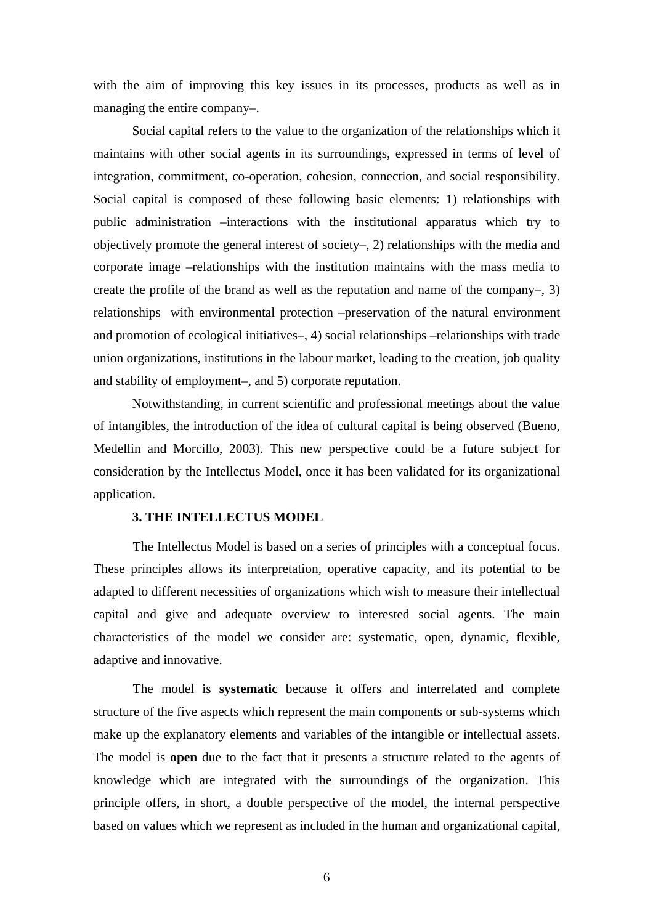with the aim of improving this key issues in its processes, products as well as in managing the entire company–.

Social capital refers to the value to the organization of the relationships which it maintains with other social agents in its surroundings, expressed in terms of level of integration, commitment, co-operation, cohesion, connection, and social responsibility. Social capital is composed of these following basic elements: 1) relationships with public administration –interactions with the institutional apparatus which try to objectively promote the general interest of society–, 2) relationships with the media and corporate image –relationships with the institution maintains with the mass media to create the profile of the brand as well as the reputation and name of the company–, 3) relationships with environmental protection –preservation of the natural environment and promotion of ecological initiatives–, 4) social relationships –relationships with trade union organizations, institutions in the labour market, leading to the creation, job quality and stability of employment–, and 5) corporate reputation.

Notwithstanding, in current scientific and professional meetings about the value of intangibles, the introduction of the idea of cultural capital is being observed (Bueno, Medellin and Morcillo, 2003). This new perspective could be a future subject for consideration by the Intellectus Model, once it has been validated for its organizational application.

## **3. THE INTELLECTUS MODEL**

The Intellectus Model is based on a series of principles with a conceptual focus. These principles allows its interpretation, operative capacity, and its potential to be adapted to different necessities of organizations which wish to measure their intellectual capital and give and adequate overview to interested social agents. The main characteristics of the model we consider are: systematic, open, dynamic, flexible, adaptive and innovative.

The model is **systematic** because it offers and interrelated and complete structure of the five aspects which represent the main components or sub-systems which make up the explanatory elements and variables of the intangible or intellectual assets. The model is **open** due to the fact that it presents a structure related to the agents of knowledge which are integrated with the surroundings of the organization. This principle offers, in short, a double perspective of the model, the internal perspective based on values which we represent as included in the human and organizational capital,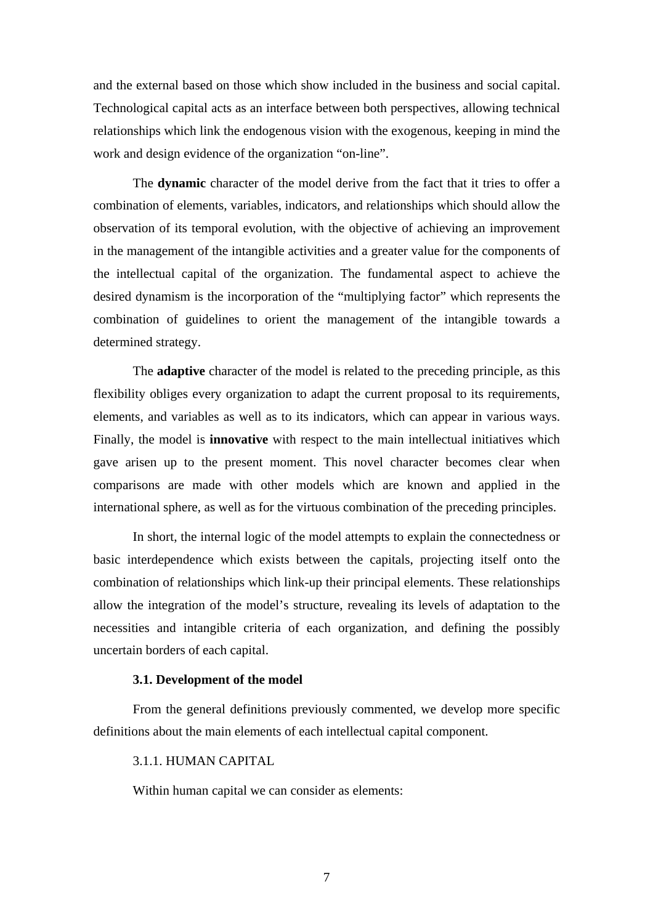and the external based on those which show included in the business and social capital. Technological capital acts as an interface between both perspectives, allowing technical relationships which link the endogenous vision with the exogenous, keeping in mind the work and design evidence of the organization "on-line".

The **dynamic** character of the model derive from the fact that it tries to offer a combination of elements, variables, indicators, and relationships which should allow the observation of its temporal evolution, with the objective of achieving an improvement in the management of the intangible activities and a greater value for the components of the intellectual capital of the organization. The fundamental aspect to achieve the desired dynamism is the incorporation of the "multiplying factor" which represents the combination of guidelines to orient the management of the intangible towards a determined strategy.

The **adaptive** character of the model is related to the preceding principle, as this flexibility obliges every organization to adapt the current proposal to its requirements, elements, and variables as well as to its indicators, which can appear in various ways. Finally, the model is **innovative** with respect to the main intellectual initiatives which gave arisen up to the present moment. This novel character becomes clear when comparisons are made with other models which are known and applied in the international sphere, as well as for the virtuous combination of the preceding principles.

In short, the internal logic of the model attempts to explain the connectedness or basic interdependence which exists between the capitals, projecting itself onto the combination of relationships which link-up their principal elements. These relationships allow the integration of the model's structure, revealing its levels of adaptation to the necessities and intangible criteria of each organization, and defining the possibly uncertain borders of each capital.

### **3.1. Development of the model**

From the general definitions previously commented, we develop more specific definitions about the main elements of each intellectual capital component.

### 3.1.1. HUMAN CAPITAL

Within human capital we can consider as elements: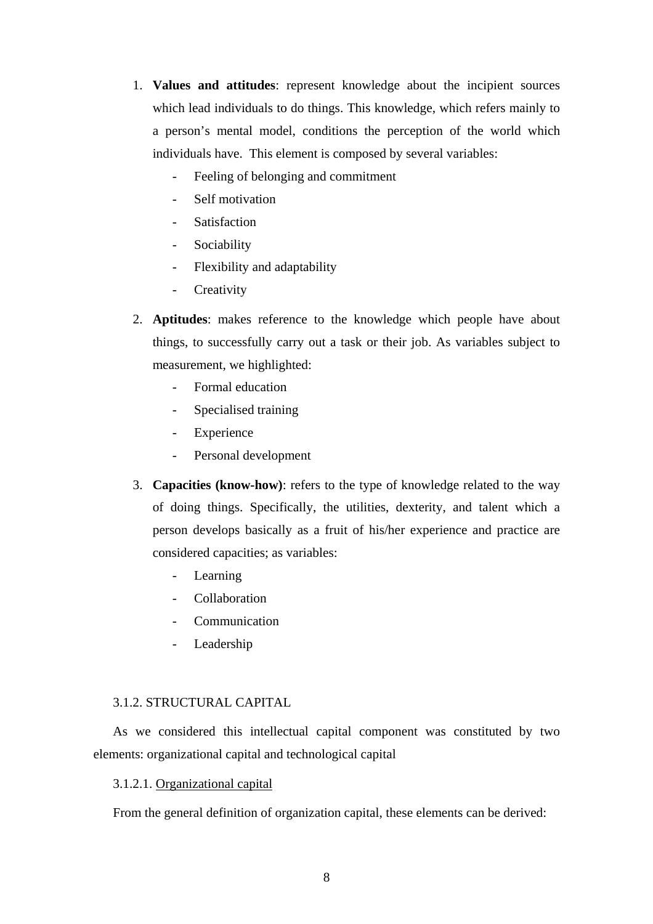- 1. **Values and attitudes**: represent knowledge about the incipient sources which lead individuals to do things. This knowledge, which refers mainly to a person's mental model, conditions the perception of the world which individuals have. This element is composed by several variables:
	- Feeling of belonging and commitment
	- Self motivation
	- **Satisfaction**
	- Sociability
	- Flexibility and adaptability
	- Creativity
- 2. **Aptitudes**: makes reference to the knowledge which people have about things, to successfully carry out a task or their job. As variables subject to measurement, we highlighted:
	- Formal education
	- Specialised training
	- Experience
	- Personal development
- 3. **Capacities (know-how)**: refers to the type of knowledge related to the way of doing things. Specifically, the utilities, dexterity, and talent which a person develops basically as a fruit of his/her experience and practice are considered capacities; as variables:
	- Learning
	- Collaboration
	- **Communication**
	- Leadership

# 3.1.2. STRUCTURAL CAPITAL

As we considered this intellectual capital component was constituted by two elements: organizational capital and technological capital

# 3.1.2.1. Organizational capital

From the general definition of organization capital, these elements can be derived: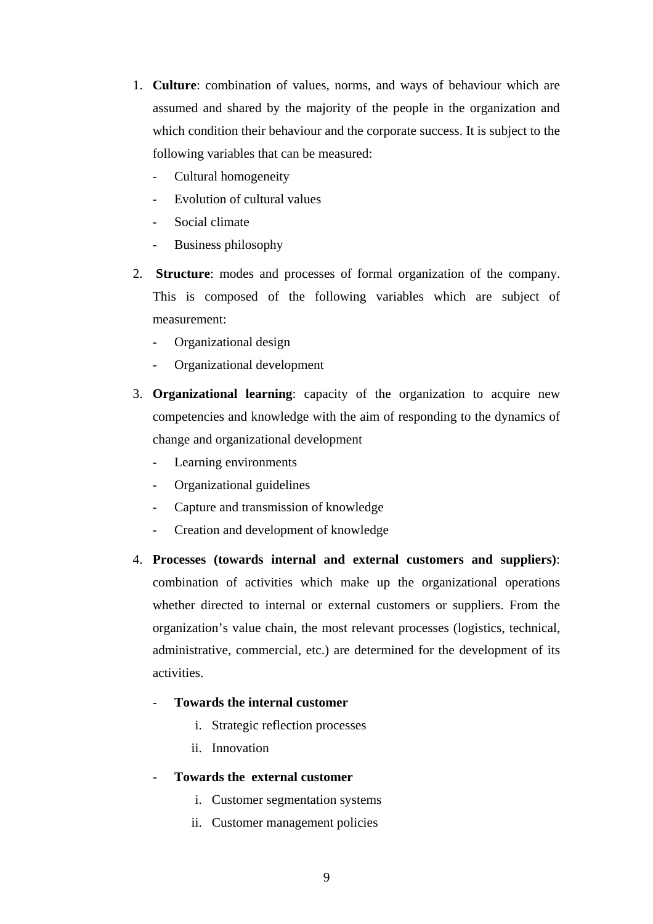- 1. **Culture**: combination of values, norms, and ways of behaviour which are assumed and shared by the majority of the people in the organization and which condition their behaviour and the corporate success. It is subject to the following variables that can be measured:
	- Cultural homogeneity
	- Evolution of cultural values
	- Social climate
	- Business philosophy
- 2. **Structure**: modes and processes of formal organization of the company. This is composed of the following variables which are subject of measurement:
	- Organizational design
	- Organizational development
- 3. **Organizational learning**: capacity of the organization to acquire new competencies and knowledge with the aim of responding to the dynamics of change and organizational development
	- Learning environments
	- Organizational guidelines
	- Capture and transmission of knowledge
	- Creation and development of knowledge
- 4. **Processes (towards internal and external customers and suppliers)**: combination of activities which make up the organizational operations whether directed to internal or external customers or suppliers. From the organization's value chain, the most relevant processes (logistics, technical, administrative, commercial, etc.) are determined for the development of its activities.
	- **Towards the internal customer** 
		- i. Strategic reflection processes
		- ii. Innovation
	- **Towards the external customer** 
		- i. Customer segmentation systems
		- ii. Customer management policies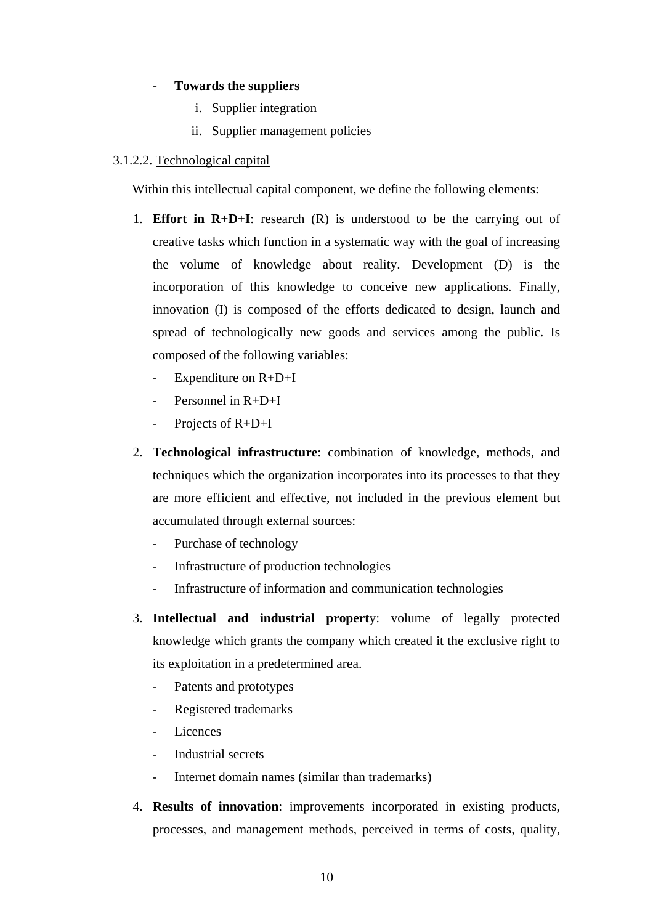# - **Towards the suppliers**

- i. Supplier integration
- ii. Supplier management policies

# 3.1.2.2. Technological capital

Within this intellectual capital component, we define the following elements:

- 1. **Effort in R+D+I**: research (R) is understood to be the carrying out of creative tasks which function in a systematic way with the goal of increasing the volume of knowledge about reality. Development (D) is the incorporation of this knowledge to conceive new applications. Finally, innovation (I) is composed of the efforts dedicated to design, launch and spread of technologically new goods and services among the public. Is composed of the following variables:
	- Expenditure on R+D+I
	- Personnel in  $R+D+I$
	- Projects of R+D+I
- 2. **Technological infrastructure**: combination of knowledge, methods, and techniques which the organization incorporates into its processes to that they are more efficient and effective, not included in the previous element but accumulated through external sources:
	- Purchase of technology
	- Infrastructure of production technologies
	- Infrastructure of information and communication technologies
- 3. **Intellectual and industrial propert**y: volume of legally protected knowledge which grants the company which created it the exclusive right to its exploitation in a predetermined area.
	- Patents and prototypes
	- Registered trademarks
	- Licences
	- Industrial secrets
	- Internet domain names (similar than trademarks)
- 4. **Results of innovation**: improvements incorporated in existing products, processes, and management methods, perceived in terms of costs, quality,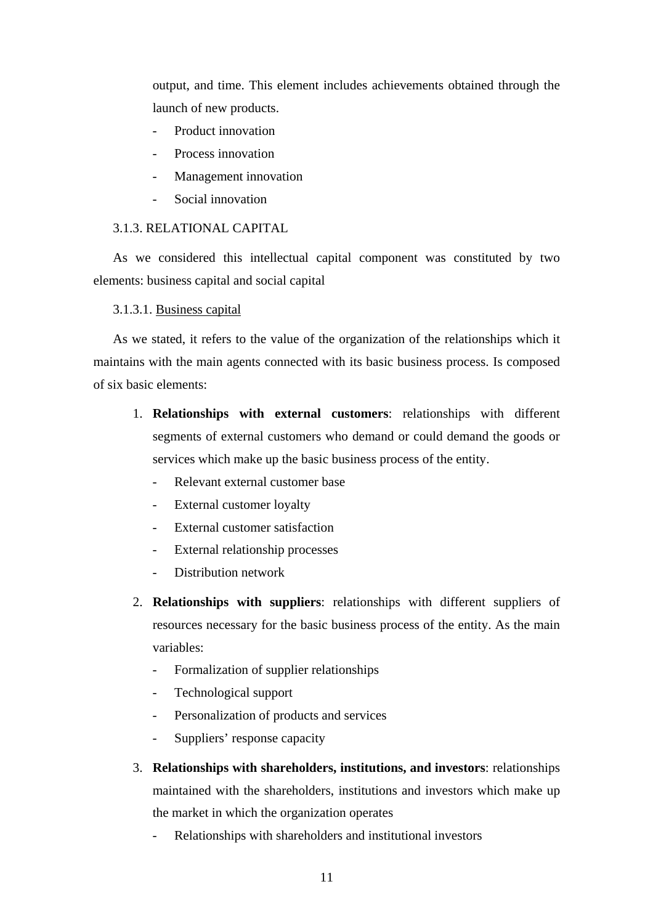output, and time. This element includes achievements obtained through the launch of new products.

- Product innovation
- Process innovation
- Management innovation
- Social innovation

## 3.1.3. RELATIONAL CAPITAL

As we considered this intellectual capital component was constituted by two elements: business capital and social capital

## 3.1.3.1. Business capital

As we stated, it refers to the value of the organization of the relationships which it maintains with the main agents connected with its basic business process. Is composed of six basic elements:

- 1. **Relationships with external customers**: relationships with different segments of external customers who demand or could demand the goods or services which make up the basic business process of the entity.
	- Relevant external customer base
	- External customer loyalty
	- External customer satisfaction
	- External relationship processes
	- Distribution network
- 2. **Relationships with suppliers**: relationships with different suppliers of resources necessary for the basic business process of the entity. As the main variables:
	- Formalization of supplier relationships
	- Technological support
	- Personalization of products and services
	- Suppliers' response capacity
- 3. **Relationships with shareholders, institutions, and investors**: relationships maintained with the shareholders, institutions and investors which make up the market in which the organization operates
	- Relationships with shareholders and institutional investors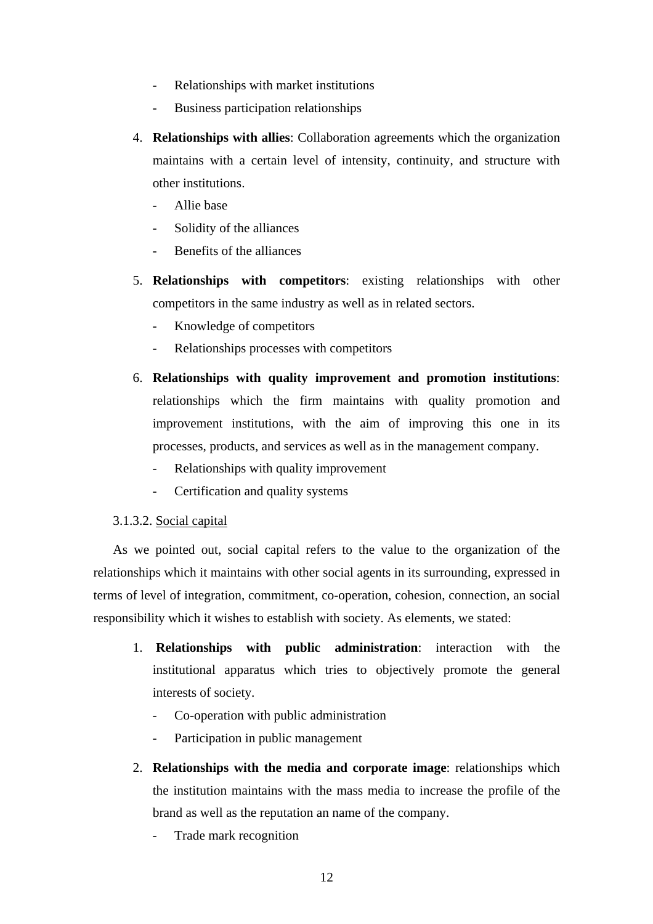- Relationships with market institutions
- Business participation relationships
- 4. **Relationships with allies**: Collaboration agreements which the organization maintains with a certain level of intensity, continuity, and structure with other institutions.
	- Allie base
	- Solidity of the alliances
	- Benefits of the alliances
- 5. **Relationships with competitors**: existing relationships with other competitors in the same industry as well as in related sectors.
	- Knowledge of competitors
	- Relationships processes with competitors
- 6. **Relationships with quality improvement and promotion institutions**: relationships which the firm maintains with quality promotion and improvement institutions, with the aim of improving this one in its processes, products, and services as well as in the management company.
	- Relationships with quality improvement
	- Certification and quality systems

# 3.1.3.2. Social capital

As we pointed out, social capital refers to the value to the organization of the relationships which it maintains with other social agents in its surrounding, expressed in terms of level of integration, commitment, co-operation, cohesion, connection, an social responsibility which it wishes to establish with society. As elements, we stated:

- 1. **Relationships with public administration**: interaction with the institutional apparatus which tries to objectively promote the general interests of society.
	- Co-operation with public administration
	- Participation in public management
- 2. **Relationships with the media and corporate image**: relationships which the institution maintains with the mass media to increase the profile of the brand as well as the reputation an name of the company.
	- Trade mark recognition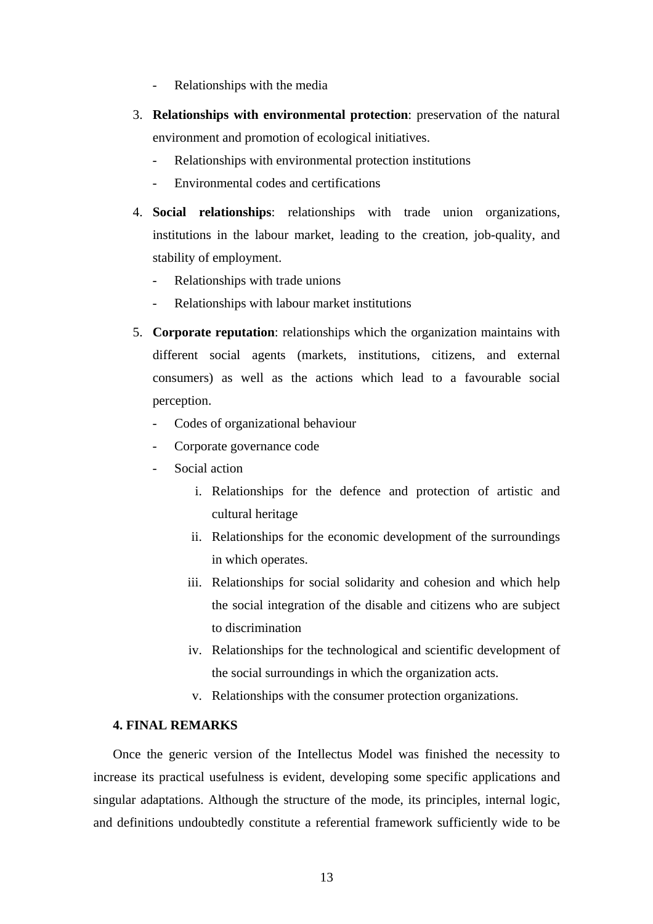- Relationships with the media
- 3. **Relationships with environmental protection**: preservation of the natural environment and promotion of ecological initiatives.
	- Relationships with environmental protection institutions
	- Environmental codes and certifications
- 4. **Social relationships**: relationships with trade union organizations, institutions in the labour market, leading to the creation, job-quality, and stability of employment.
	- Relationships with trade unions
	- Relationships with labour market institutions
- 5. **Corporate reputation**: relationships which the organization maintains with different social agents (markets, institutions, citizens, and external consumers) as well as the actions which lead to a favourable social perception.
	- Codes of organizational behaviour
	- Corporate governance code
	- Social action
		- i. Relationships for the defence and protection of artistic and cultural heritage
		- ii. Relationships for the economic development of the surroundings in which operates.
		- iii. Relationships for social solidarity and cohesion and which help the social integration of the disable and citizens who are subject to discrimination
		- iv. Relationships for the technological and scientific development of the social surroundings in which the organization acts.
		- v. Relationships with the consumer protection organizations.

# **4. FINAL REMARKS**

Once the generic version of the Intellectus Model was finished the necessity to increase its practical usefulness is evident, developing some specific applications and singular adaptations. Although the structure of the mode, its principles, internal logic, and definitions undoubtedly constitute a referential framework sufficiently wide to be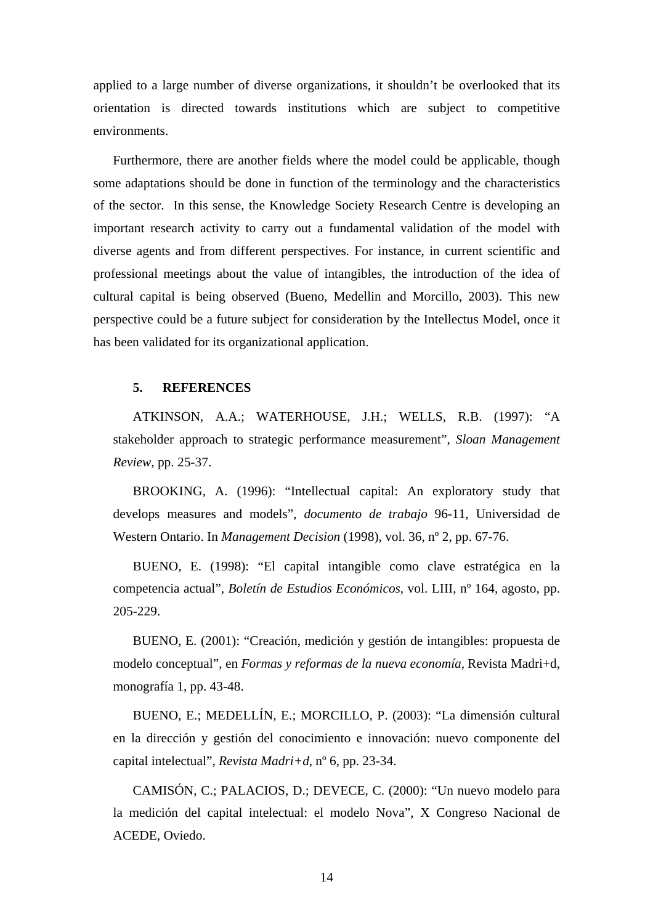applied to a large number of diverse organizations, it shouldn't be overlooked that its orientation is directed towards institutions which are subject to competitive environments.

Furthermore, there are another fields where the model could be applicable, though some adaptations should be done in function of the terminology and the characteristics of the sector. In this sense, the Knowledge Society Research Centre is developing an important research activity to carry out a fundamental validation of the model with diverse agents and from different perspectives. For instance, in current scientific and professional meetings about the value of intangibles, the introduction of the idea of cultural capital is being observed (Bueno, Medellin and Morcillo, 2003). This new perspective could be a future subject for consideration by the Intellectus Model, once it has been validated for its organizational application.

#### **5. REFERENCES**

ATKINSON, A.A.; WATERHOUSE, J.H.; WELLS, R.B. (1997): "A stakeholder approach to strategic performance measurement", *Sloan Management Review*, pp. 25-37.

BROOKING, A. (1996): "Intellectual capital: An exploratory study that develops measures and models", *documento de trabajo* 96-11, Universidad de Western Ontario. In *Management Decision* (1998), vol. 36, nº 2, pp. 67-76.

BUENO, E. (1998): "El capital intangible como clave estratégica en la competencia actual", *Boletín de Estudios Económicos*, vol. LIII, nº 164, agosto, pp. 205-229.

BUENO, E. (2001): "Creación, medición y gestión de intangibles: propuesta de modelo conceptual", en *Formas y reformas de la nueva economía,* Revista Madri+d, monografía 1, pp. 43-48.

BUENO, E.; MEDELLÍN, E.; MORCILLO, P. (2003): "La dimensión cultural en la dirección y gestión del conocimiento e innovación: nuevo componente del capital intelectual", *Revista Madri+d*, nº 6, pp. 23-34.

CAMISÓN, C.; PALACIOS, D.; DEVECE, C. (2000): "Un nuevo modelo para la medición del capital intelectual: el modelo Nova", X Congreso Nacional de ACEDE, Oviedo.